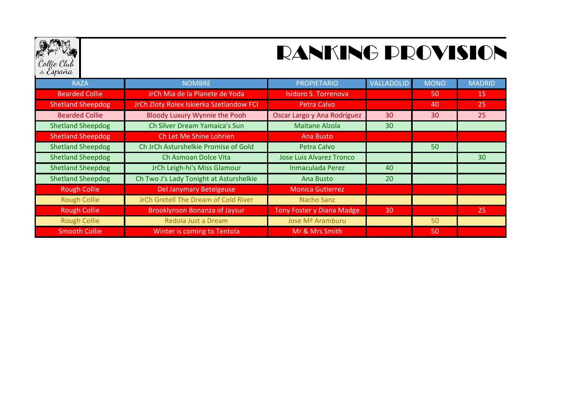

## RANKING PROVISION

| <b>RAZA</b>              | <b>NOMBRE</b>                            | <b>PROPIETARIO</b>              | VALLADOLID | <b>MONO</b> | <b>MADRID</b> |
|--------------------------|------------------------------------------|---------------------------------|------------|-------------|---------------|
| <b>Bearded Collie</b>    | JrCh Mia de la Planete de Yoda           | <b>Isidoro S. Torrenova</b>     |            | 50          | <b>15</b>     |
| <b>Shetland Sheepdog</b> | JrCh Zloty Rolex Iskierka Szetlandow FCI | Petra Calvo                     |            | 40          | 25            |
| <b>Bearded Collie</b>    | Bloody Luxury Wynnie the Pooh            | Oscar Largo y Ana Rodríguez     | 30         | 30          | 25            |
| <b>Shetland Sheepdog</b> | Ch Silver Dream Yamaica's Sun            | <b>Maitane Alzola</b>           | 30         |             |               |
| <b>Shetland Sheepdog</b> | Ch Let Me Shine Lohrien                  | Ana Busto                       |            |             |               |
| <b>Shetland Sheepdog</b> | Ch JrCh Asturshelkie Promise of Gold     | <b>Petra Calvo</b>              |            | 50          |               |
| <b>Shetland Sheepdog</b> | Ch Asmoan Dolce Vita                     | <b>Jose Luis Alvarez Tronco</b> |            |             | 30            |
| <b>Shetland Sheepdog</b> | JrCh Leigh-hi's Miss Glamour             | Inmaculada Perez                | 40         |             |               |
| <b>Shetland Sheepdog</b> | Ch Two J's Lady Tonight at Asturshelkie  | Ana Busto                       | 20         |             |               |
| <b>Rough Collie</b>      | Del Janymary Betelgeuse                  | <b>Monica Gutierrez</b>         |            |             |               |
| <b>Rough Collie</b>      | JrCh Gretell The Dream of Cold River     | <b>Nacho Sanz</b>               |            |             |               |
| <b>Rough Collie</b>      | <b>Brooklynson Bonanza of Jaysur</b>     | Tony Foster y Diana Madge       | 30         |             | 25            |
| <b>Rough Collie</b>      | Redola Just a Dream                      | Jose Mª Aramburu                |            | 50          |               |
| <b>Smooth Collie</b>     | Winter is coming to Tentola              | Mr & Mrs Smith                  |            | 50          |               |